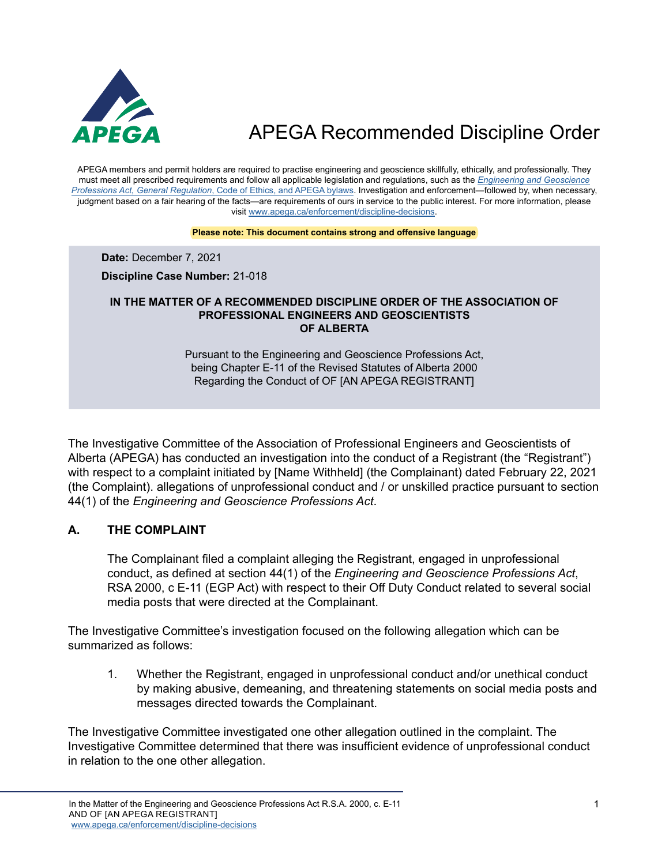

APEGA members and permit holders are required to practise engineering and geoscience skillfully, ethically, and professionally. They must meet all prescribed requirements and follow all applicable legislation and regulations, such as the *[Engineering and Geoscience](https://www.apega.ca/about-apega/publications/engineering-and-geoscience-professions-act)  Professions Act, General Regulation*[, Code of Ethics, and APEGA bylaws.](https://www.apega.ca/about-apega/publications/engineering-and-geoscience-professions-act) Investigation and enforcement—followed by, when necessary, judgment based on a fair hearing of the facts—are requirements of ours in service to the public interest. For more information, please visit [www.apega.ca/enforcement/discipline-decisions](https://www.apega.ca/enforcement/discipline-decisions).

#### **Please note: This document contains strong and offensive language**

**Date:** December 7, 2021

**Discipline Case Number:** 21-018

#### **IN THE MATTER OF A RECOMMENDED DISCIPLINE ORDER OF THE ASSOCIATION OF PROFESSIONAL ENGINEERS AND GEOSCIENTISTS OF ALBERTA**

Pursuant to the Engineering and Geoscience Professions Act, being Chapter E-11 of the Revised Statutes of Alberta 2000 Regarding the Conduct of OF [AN APEGA REGISTRANT]

The Investigative Committee of the Association of Professional Engineers and Geoscientists of Alberta (APEGA) has conducted an investigation into the conduct of a Registrant (the "Registrant") with respect to a complaint initiated by [Name Withheld] (the Complainant) dated February 22, 2021 (the Complaint). allegations of unprofessional conduct and / or unskilled practice pursuant to section 44(1) of the *Engineering and Geoscience Professions Act*.

#### **A. THE COMPLAINT**

The Complainant filed a complaint alleging the Registrant, engaged in unprofessional conduct, as defined at section 44(1) of the *Engineering and Geoscience Professions Act*, RSA 2000, c E-11 (EGP Act) with respect to their Off Duty Conduct related to several social media posts that were directed at the Complainant.

The Investigative Committee's investigation focused on the following allegation which can be summarized as follows:

1. Whether the Registrant, engaged in unprofessional conduct and/or unethical conduct by making abusive, demeaning, and threatening statements on social media posts and messages directed towards the Complainant.

The Investigative Committee investigated one other allegation outlined in the complaint. The Investigative Committee determined that there was insufficient evidence of unprofessional conduct in relation to the one other allegation.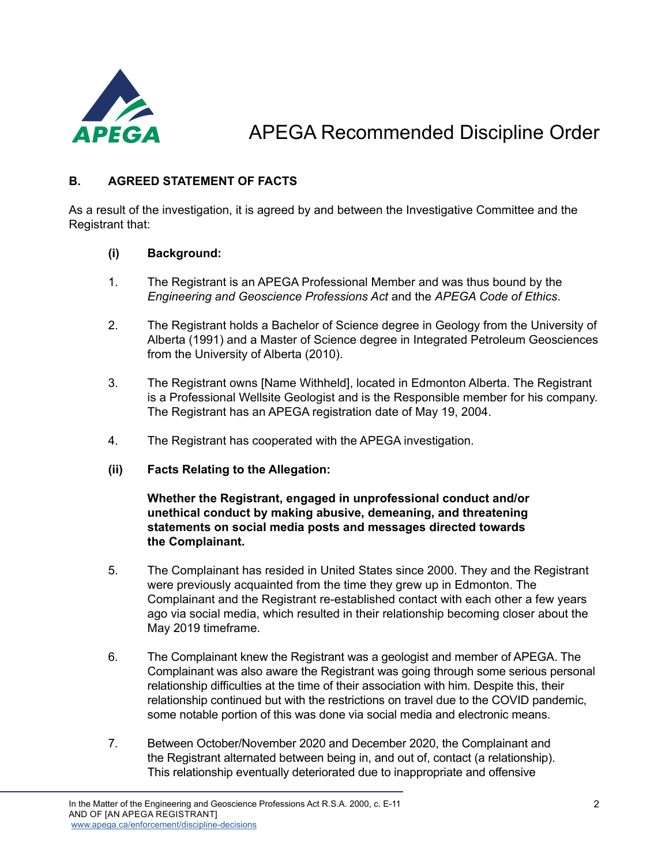

#### **B. AGREED STATEMENT OF FACTS**

As a result of the investigation, it is agreed by and between the Investigative Committee and the Registrant that:

#### **(i) Background:**

- 1. The Registrant is an APEGA Professional Member and was thus bound by the *Engineering and Geoscience Professions Act* and the *APEGA Code of Ethics*.
- 2. The Registrant holds a Bachelor of Science degree in Geology from the University of Alberta (1991) and a Master of Science degree in Integrated Petroleum Geosciences from the University of Alberta (2010).
- 3. The Registrant owns [Name Withheld], located in Edmonton Alberta. The Registrant is a Professional Wellsite Geologist and is the Responsible member for his company. The Registrant has an APEGA registration date of May 19, 2004.
- 4. The Registrant has cooperated with the APEGA investigation.
- **(ii) Facts Relating to the Allegation:**

**Whether the Registrant, engaged in unprofessional conduct and/or unethical conduct by making abusive, demeaning, and threatening statements on social media posts and messages directed towards the Complainant.**

- 5. The Complainant has resided in United States since 2000. They and the Registrant were previously acquainted from the time they grew up in Edmonton. The Complainant and the Registrant re-established contact with each other a few years ago via social media, which resulted in their relationship becoming closer about the May 2019 timeframe.
- 6. The Complainant knew the Registrant was a geologist and member of APEGA. The Complainant was also aware the Registrant was going through some serious personal relationship difficulties at the time of their association with him. Despite this, their relationship continued but with the restrictions on travel due to the COVID pandemic, some notable portion of this was done via social media and electronic means.
- 7. Between October/November 2020 and December 2020, the Complainant and the Registrant alternated between being in, and out of, contact (a relationship). This relationship eventually deteriorated due to inappropriate and offensive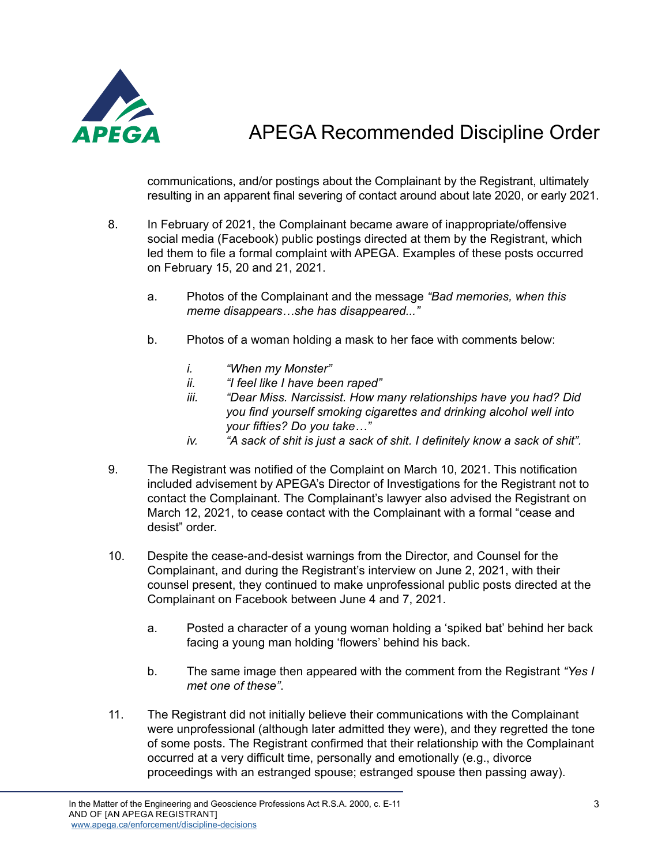

communications, and/or postings about the Complainant by the Registrant, ultimately resulting in an apparent final severing of contact around about late 2020, or early 2021.

- 8. In February of 2021, the Complainant became aware of inappropriate/offensive social media (Facebook) public postings directed at them by the Registrant, which led them to file a formal complaint with APEGA. Examples of these posts occurred on February 15, 20 and 21, 2021.
	- a. Photos of the Complainant and the message *"Bad memories, when this meme disappears…she has disappeared..."*
	- b. Photos of a woman holding a mask to her face with comments below:
		- *i. "When my Monster"*
		- *ii. "I feel like I have been raped"*
		- *iii. "Dear Miss. Narcissist. How many relationships have you had? Did you find yourself smoking cigarettes and drinking alcohol well into your fifties? Do you take…"*
		- *iv. "A sack of shit is just a sack of shit. I definitely know a sack of shit".*
- 9. The Registrant was notified of the Complaint on March 10, 2021. This notification included advisement by APEGA's Director of Investigations for the Registrant not to contact the Complainant. The Complainant's lawyer also advised the Registrant on March 12, 2021, to cease contact with the Complainant with a formal "cease and desist" order.
- 10. Despite the cease-and-desist warnings from the Director, and Counsel for the Complainant, and during the Registrant's interview on June 2, 2021, with their counsel present, they continued to make unprofessional public posts directed at the Complainant on Facebook between June 4 and 7, 2021.
	- a. Posted a character of a young woman holding a 'spiked bat' behind her back facing a young man holding 'flowers' behind his back.
	- b. The same image then appeared with the comment from the Registrant *"Yes I met one of these"*.
- 11. The Registrant did not initially believe their communications with the Complainant were unprofessional (although later admitted they were), and they regretted the tone of some posts. The Registrant confirmed that their relationship with the Complainant occurred at a very difficult time, personally and emotionally (e.g., divorce proceedings with an estranged spouse; estranged spouse then passing away).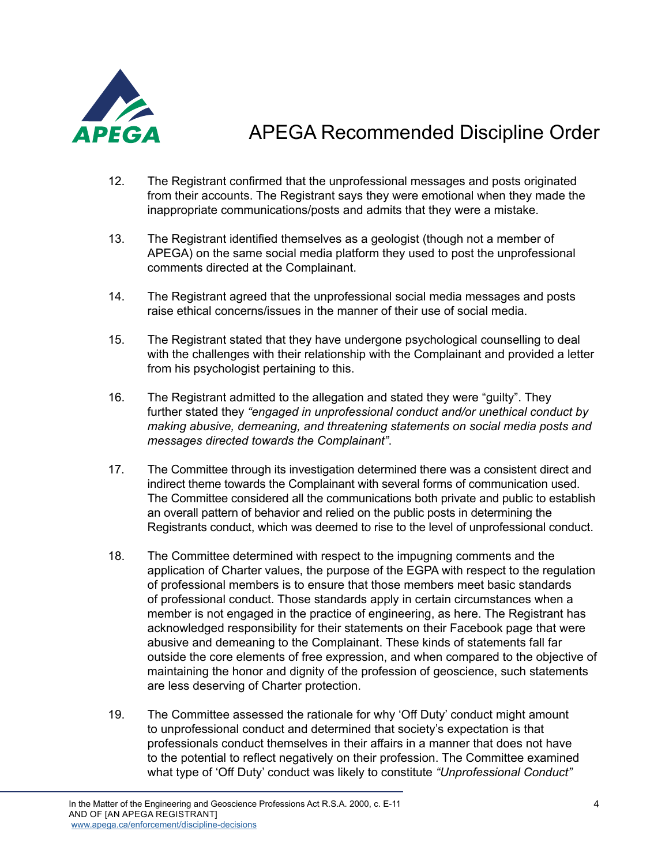

- 12. The Registrant confirmed that the unprofessional messages and posts originated from their accounts. The Registrant says they were emotional when they made the inappropriate communications/posts and admits that they were a mistake.
- 13. The Registrant identified themselves as a geologist (though not a member of APEGA) on the same social media platform they used to post the unprofessional comments directed at the Complainant.
- 14. The Registrant agreed that the unprofessional social media messages and posts raise ethical concerns/issues in the manner of their use of social media.
- 15. The Registrant stated that they have undergone psychological counselling to deal with the challenges with their relationship with the Complainant and provided a letter from his psychologist pertaining to this.
- 16. The Registrant admitted to the allegation and stated they were "guilty". They further stated they *"engaged in unprofessional conduct and/or unethical conduct by making abusive, demeaning, and threatening statements on social media posts and messages directed towards the Complainant"*.
- 17. The Committee through its investigation determined there was a consistent direct and indirect theme towards the Complainant with several forms of communication used. The Committee considered all the communications both private and public to establish an overall pattern of behavior and relied on the public posts in determining the Registrants conduct, which was deemed to rise to the level of unprofessional conduct.
- 18. The Committee determined with respect to the impugning comments and the application of Charter values, the purpose of the EGPA with respect to the regulation of professional members is to ensure that those members meet basic standards of professional conduct. Those standards apply in certain circumstances when a member is not engaged in the practice of engineering, as here. The Registrant has acknowledged responsibility for their statements on their Facebook page that were abusive and demeaning to the Complainant. These kinds of statements fall far outside the core elements of free expression, and when compared to the objective of maintaining the honor and dignity of the profession of geoscience, such statements are less deserving of Charter protection.
- 19. The Committee assessed the rationale for why 'Off Duty' conduct might amount to unprofessional conduct and determined that society's expectation is that professionals conduct themselves in their affairs in a manner that does not have to the potential to reflect negatively on their profession. The Committee examined what type of 'Off Duty' conduct was likely to constitute *"Unprofessional Conduct"*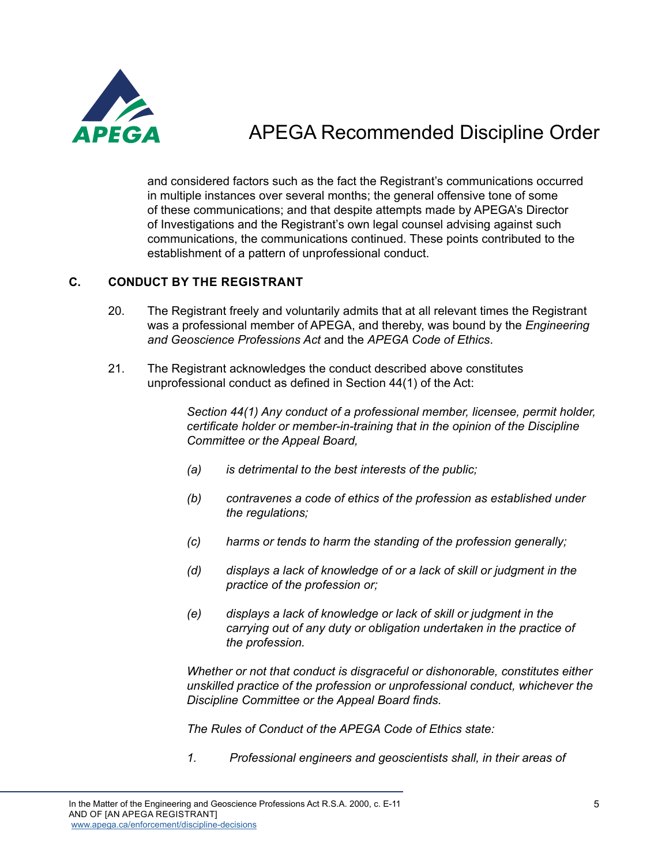

and considered factors such as the fact the Registrant's communications occurred in multiple instances over several months; the general offensive tone of some of these communications; and that despite attempts made by APEGA's Director of Investigations and the Registrant's own legal counsel advising against such communications, the communications continued. These points contributed to the establishment of a pattern of unprofessional conduct.

#### **C. CONDUCT BY THE REGISTRANT**

- 20. The Registrant freely and voluntarily admits that at all relevant times the Registrant was a professional member of APEGA, and thereby, was bound by the *Engineering and Geoscience Professions Act* and the *APEGA Code of Ethics*.
- 21. The Registrant acknowledges the conduct described above constitutes unprofessional conduct as defined in Section 44(1) of the Act:

*Section 44(1) Any conduct of a professional member, licensee, permit holder, certificate holder or member-in-training that in the opinion of the Discipline Committee or the Appeal Board,* 

- *(a) is detrimental to the best interests of the public;*
- *(b) contravenes a code of ethics of the profession as established under the regulations;*
- *(c) harms or tends to harm the standing of the profession generally;*
- *(d) displays a lack of knowledge of or a lack of skill or judgment in the practice of the profession or;*
- *(e) displays a lack of knowledge or lack of skill or judgment in the carrying out of any duty or obligation undertaken in the practice of the profession.*

*Whether or not that conduct is disgraceful or dishonorable, constitutes either unskilled practice of the profession or unprofessional conduct, whichever the Discipline Committee or the Appeal Board finds.* 

*The Rules of Conduct of the APEGA Code of Ethics state:*

*1. Professional engineers and geoscientists shall, in their areas of*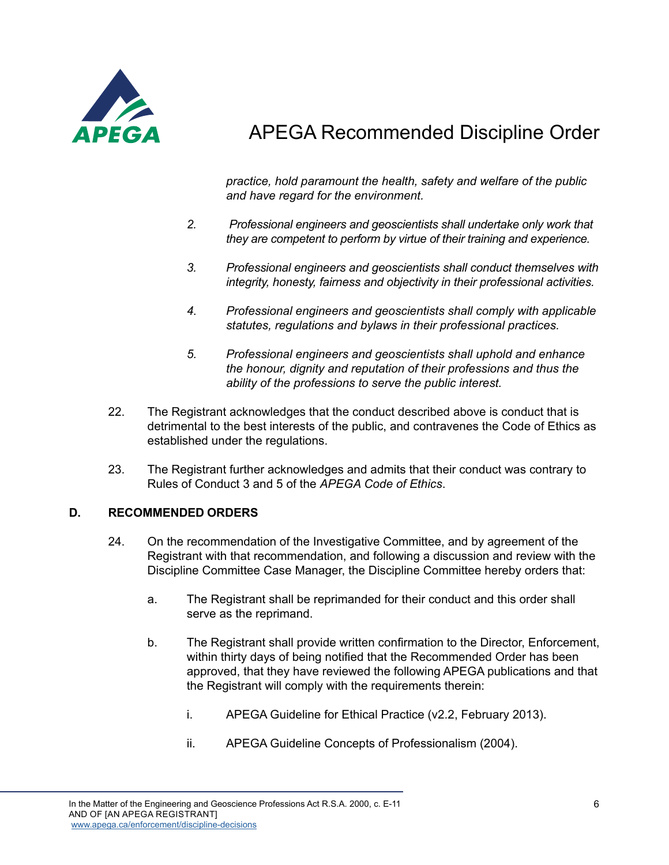

*practice, hold paramount the health, safety and welfare of the public and have regard for the environment.*

- *2. Professional engineers and geoscientists shall undertake only work that they are competent to perform by virtue of their training and experience.*
- *3. Professional engineers and geoscientists shall conduct themselves with integrity, honesty, fairness and objectivity in their professional activities.*
- *4. Professional engineers and geoscientists shall comply with applicable statutes, regulations and bylaws in their professional practices.*
- *5. Professional engineers and geoscientists shall uphold and enhance the honour, dignity and reputation of their professions and thus the ability of the professions to serve the public interest.*
- 22. The Registrant acknowledges that the conduct described above is conduct that is detrimental to the best interests of the public, and contravenes the Code of Ethics as established under the regulations.
- 23. The Registrant further acknowledges and admits that their conduct was contrary to Rules of Conduct 3 and 5 of the *APEGA Code of Ethics*.

#### **D. RECOMMENDED ORDERS**

- 24. On the recommendation of the Investigative Committee, and by agreement of the Registrant with that recommendation, and following a discussion and review with the Discipline Committee Case Manager, the Discipline Committee hereby orders that:
	- a. The Registrant shall be reprimanded for their conduct and this order shall serve as the reprimand.
	- b. The Registrant shall provide written confirmation to the Director, Enforcement, within thirty days of being notified that the Recommended Order has been approved, that they have reviewed the following APEGA publications and that the Registrant will comply with the requirements therein:
		- i. APEGA Guideline for Ethical Practice (v2.2, February 2013).
		- ii. APEGA Guideline Concepts of Professionalism (2004).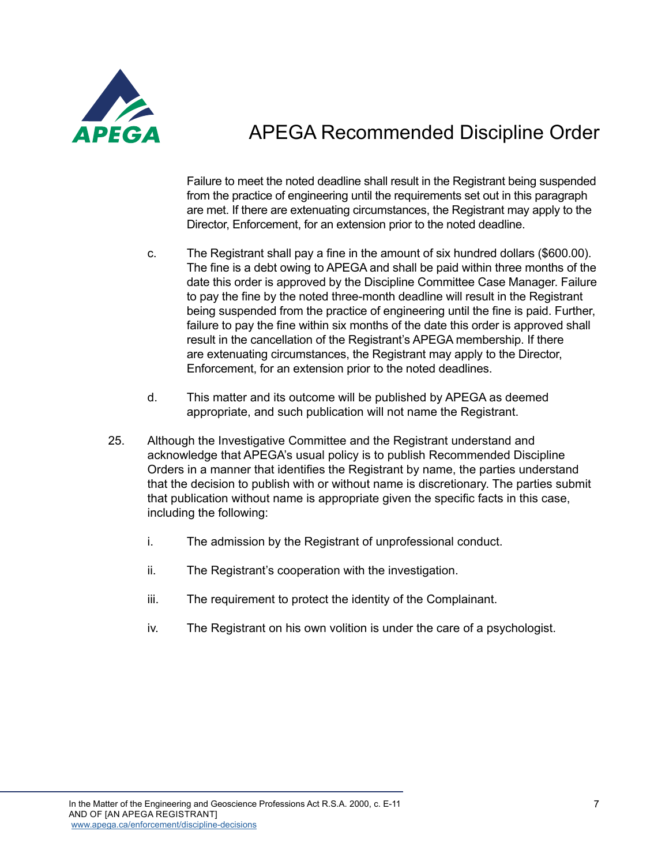

Failure to meet the noted deadline shall result in the Registrant being suspended from the practice of engineering until the requirements set out in this paragraph are met. If there are extenuating circumstances, the Registrant may apply to the Director, Enforcement, for an extension prior to the noted deadline.

- c. The Registrant shall pay a fine in the amount of six hundred dollars (\$600.00). The fine is a debt owing to APEGA and shall be paid within three months of the date this order is approved by the Discipline Committee Case Manager. Failure to pay the fine by the noted three-month deadline will result in the Registrant being suspended from the practice of engineering until the fine is paid. Further, failure to pay the fine within six months of the date this order is approved shall result in the cancellation of the Registrant's APEGA membership. If there are extenuating circumstances, the Registrant may apply to the Director, Enforcement, for an extension prior to the noted deadlines.
- d. This matter and its outcome will be published by APEGA as deemed appropriate, and such publication will not name the Registrant.
- 25. Although the Investigative Committee and the Registrant understand and acknowledge that APEGA's usual policy is to publish Recommended Discipline Orders in a manner that identifies the Registrant by name, the parties understand that the decision to publish with or without name is discretionary. The parties submit that publication without name is appropriate given the specific facts in this case, including the following:
	- i. The admission by the Registrant of unprofessional conduct.
	- ii. The Registrant's cooperation with the investigation.
	- iii. The requirement to protect the identity of the Complainant.
	- iv. The Registrant on his own volition is under the care of a psychologist.